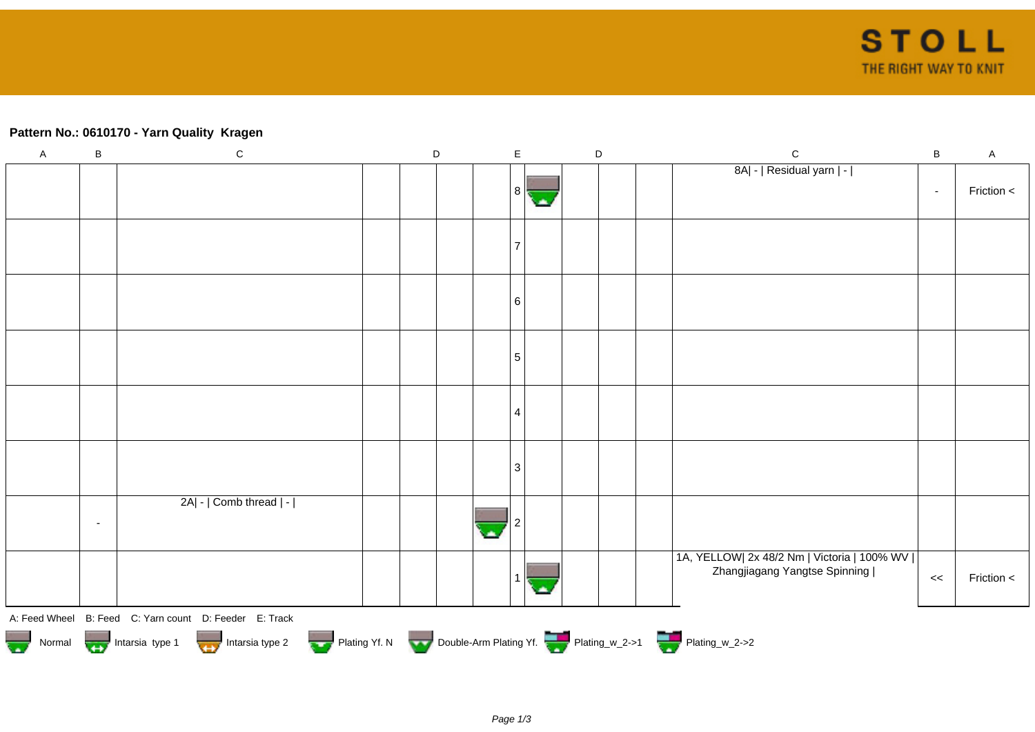## **Pattern No.: 0610170 - Yarn Quality Kragen**

| $\mathsf A$ | $\, {\bf B}$                                                                                   | ${\bf C}$                                              |  | D |  |                          | $\mathsf E$     |    |  | D |  | ${\bf C}$                                                                        | $\sf B$ | $\mathsf A$ |
|-------------|------------------------------------------------------------------------------------------------|--------------------------------------------------------|--|---|--|--------------------------|-----------------|----|--|---|--|----------------------------------------------------------------------------------|---------|-------------|
|             |                                                                                                |                                                        |  |   |  |                          | 8               | С. |  |   |  | 8A  -   Residual yarn   -                                                        | $\sim$  | Friction <  |
|             |                                                                                                |                                                        |  |   |  |                          |                 |    |  |   |  |                                                                                  |         |             |
|             |                                                                                                |                                                        |  |   |  |                          | 6               |    |  |   |  |                                                                                  |         |             |
|             |                                                                                                |                                                        |  |   |  |                          | $5\phantom{.0}$ |    |  |   |  |                                                                                  |         |             |
|             |                                                                                                |                                                        |  |   |  |                          | 4               |    |  |   |  |                                                                                  |         |             |
|             |                                                                                                |                                                        |  |   |  |                          | 3               |    |  |   |  |                                                                                  |         |             |
|             | $\overline{\phantom{a}}$                                                                       | 2A  -   Comb thread   -                                |  |   |  | $\overline{\phantom{a}}$ |                 |    |  |   |  |                                                                                  |         |             |
|             |                                                                                                |                                                        |  |   |  |                          |                 |    |  |   |  | 1A, YELLOW  2x 48/2 Nm   Victoria   100% WV    <br>Zhangjiagang Yangtse Spinning | <<      | Friction <  |
|             |                                                                                                | A: Feed Wheel B: Feed C: Yarn count D: Feeder E: Track |  |   |  |                          |                 |    |  |   |  |                                                                                  |         |             |
|             | Normal Intarsia type 1 Intarsia type 2 Plating Yf. N Double-Arm Plating Yf. The Plating w_2->1 |                                                        |  |   |  |                          |                 |    |  |   |  |                                                                                  |         |             |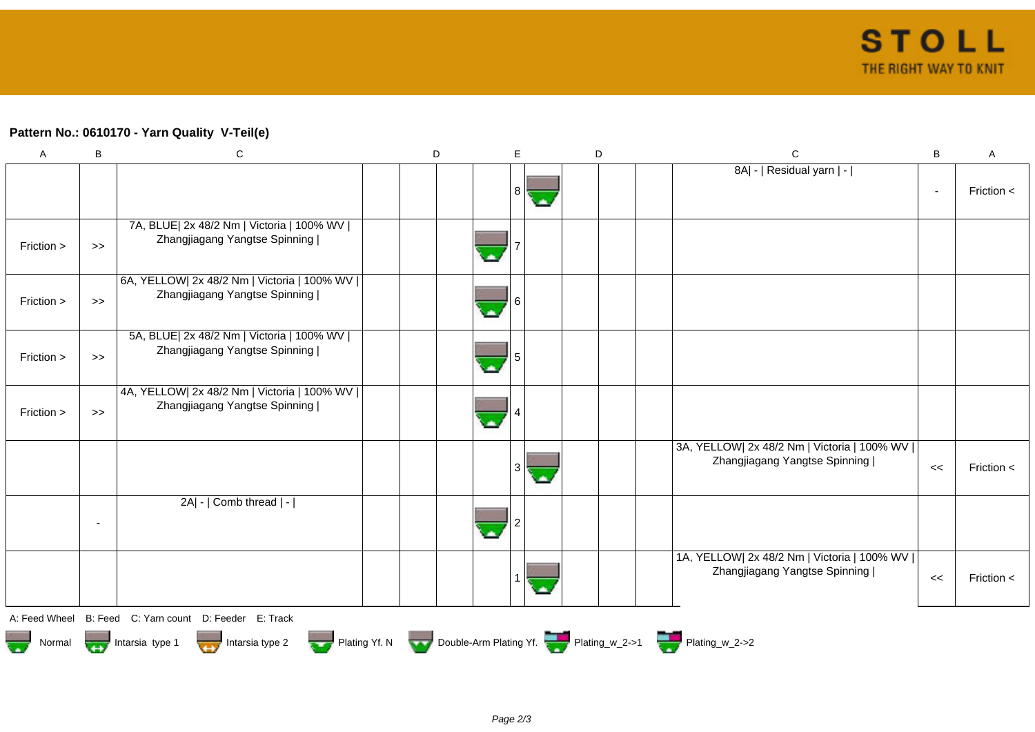## **Pattern No.: 0610170 - Yarn Quality V-Teil(e)**

| $\mathsf{A}$  | B                        | $\mathbf C$                                                                                | D | E.             | D | $\mathsf{C}$                                                                   | B      | Α              |
|---------------|--------------------------|--------------------------------------------------------------------------------------------|---|----------------|---|--------------------------------------------------------------------------------|--------|----------------|
|               |                          |                                                                                            |   | 8 <sup>1</sup> |   | 8A  -   Residual yarn   -                                                      | $\sim$ | Friction $\lt$ |
| Friction >    | $\boldsymbol{>}$         | 7A, BLUE  2x 48/2 Nm   Victoria   100% WV  <br>Zhangjiagang Yangtse Spinning               |   |                |   |                                                                                |        |                |
| Friction >    | $\boldsymbol{>}$         | 6A, YELLOW  2x 48/2 Nm   Victoria   100% WV  <br>Zhangjiagang Yangtse Spinning             |   |                |   |                                                                                |        |                |
| Friction >    | $\gt$                    | 5A, BLUE  2x 48/2 Nm   Victoria   100% WV  <br>Zhangjiagang Yangtse Spinning               |   |                |   |                                                                                |        |                |
| Friction >    | $\gt$                    | 4A, YELLOW  2x 48/2 Nm   Victoria   100% WV  <br>Zhangjiagang Yangtse Spinning             |   |                |   |                                                                                |        |                |
|               |                          |                                                                                            |   | 3<br><b>A</b>  |   | 3A, YELLOW  2x 48/2 Nm   Victoria   100% WV  <br>Zhangjiagang Yangtse Spinning | <<     | Friction $\lt$ |
|               | $\overline{\phantom{a}}$ | 2A  -   Comb thread   -                                                                    |   |                |   |                                                                                |        |                |
|               |                          |                                                                                            |   |                |   | 1A, YELLOW  2x 48/2 Nm   Victoria   100% WV  <br>Zhangjiagang Yangtse Spinning | <<     | Friction $<$   |
| A: Feed Wheel |                          | B: Feed C: Yarn count D: Feeder E: Track                                                   |   |                |   |                                                                                |        |                |
|               |                          | Normal Intarsia type 1 Intarsia type 2 Plating Yf. N Double-Arm Plating Yf. Thating_w_2->1 |   |                |   |                                                                                |        |                |